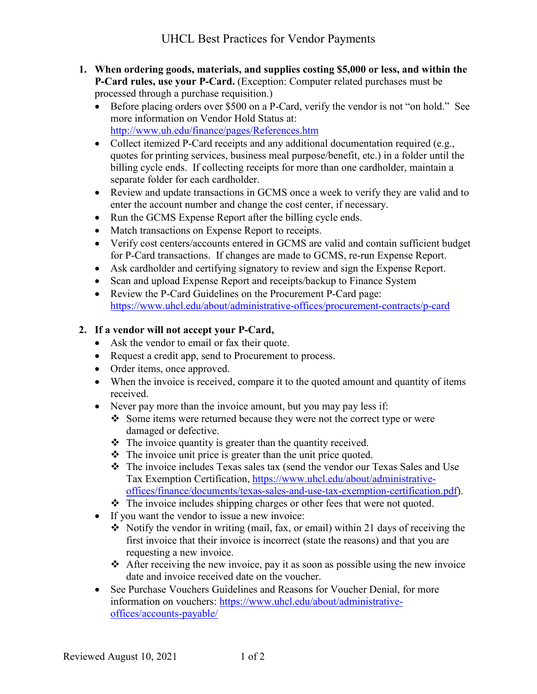- **1. When ordering goods, materials, and supplies costing \$5,000 or less, and within the P-Card rules, use your P-Card.** (Exception: Computer related purchases must be processed through a purchase requisition.)
	- Before placing orders over \$500 on a P-Card, verify the vendor is not "on hold." See more information on Vendor Hold Status at: <http://www.uh.edu/finance/pages/References.htm>
	- Collect itemized P-Card receipts and any additional documentation required (e.g., quotes for printing services, business meal purpose/benefit, etc.) in a folder until the billing cycle ends. If collecting receipts for more than one cardholder, maintain a separate folder for each cardholder.
	- Review and update transactions in GCMS once a week to verify they are valid and to enter the account number and change the cost center, if necessary.
	- Run the GCMS Expense Report after the billing cycle ends.
	- Match transactions on Expense Report to receipts.
	- Verify cost centers/accounts entered in GCMS are valid and contain sufficient budget for P-Card transactions. If changes are made to GCMS, re-run Expense Report.
	- Ask cardholder and certifying signatory to review and sign the Expense Report.
	- Scan and upload Expense Report and receipts/backup to Finance System
	- Review the P-Card Guidelines on the Procurement P-Card page: <https://www.uhcl.edu/about/administrative-offices/procurement-contracts/p-card>

## **2. If a vendor will not accept your P-Card,**

- Ask the vendor to email or fax their quote.
- Request a credit app, send to Procurement to process.
- Order items, once approved.
- When the invoice is received, compare it to the quoted amount and quantity of items received.
- Never pay more than the invoice amount, but you may pay less if:
	- Some items were returned because they were not the correct type or were damaged or defective.
	- $\cdot \cdot$  The invoice quantity is greater than the quantity received.
	- $\triangle$  The invoice unit price is greater than the unit price quoted.
	- The invoice includes Texas sales tax (send the vendor our Texas Sales and Use Tax Exemption Certification, [https://www.uhcl.edu/about/administrative](https://www.uhcl.edu/about/administrative-offices/finance/documents/texas-sales-and-use-tax-exemption-certification.pdf)[offices/finance/documents/texas-sales-and-use-tax-exemption-certification.pdf\)](https://www.uhcl.edu/about/administrative-offices/finance/documents/texas-sales-and-use-tax-exemption-certification.pdf).
	- $\hat{\mathbf{v}}$  The invoice includes shipping charges or other fees that were not quoted.
- If you want the vendor to issue a new invoice:
	- $\triangle$  Notify the vendor in writing (mail, fax, or email) within 21 days of receiving the first invoice that their invoice is incorrect (state the reasons) and that you are requesting a new invoice.
	- $\triangle$  After receiving the new invoice, pay it as soon as possible using the new invoice date and invoice received date on the voucher.
- See Purchase Vouchers Guidelines and Reasons for Voucher Denial, for more information on vouchers: [https://www.uhcl.edu/about/administrative](https://www.uhcl.edu/about/administrative-offices/accounts-payable/)[offices/accounts-payable/](https://www.uhcl.edu/about/administrative-offices/accounts-payable/)